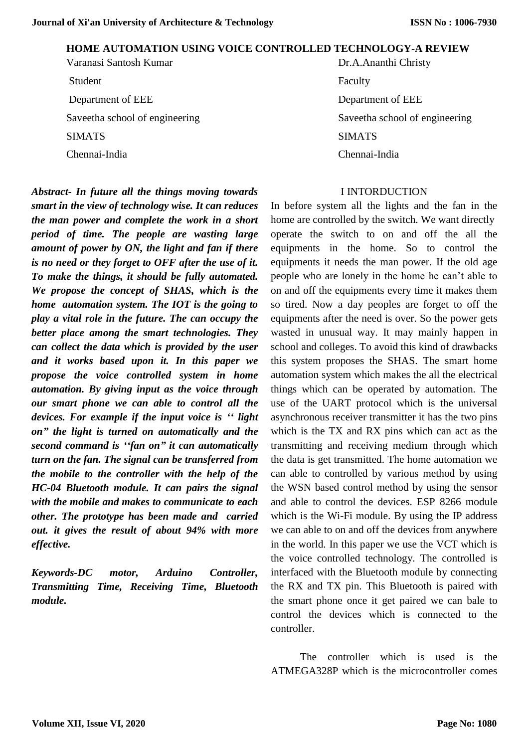### **HOME AUTOMATION USING VOICE CONTROLLED TECHNOLOGY-A REVIEW**

Varanasi Santosh Kumar Dr.A.Ananthi Christy Student Faculty Department of EEE Department of EEE SIMATS SIMATS

*Abstract- In future all the things moving towards smart in the view of technology wise. It can reduces the man power and complete the work in a short period of time. The people are wasting large amount of power by ON, the light and fan if there is no need or they forget to OFF after the use of it. To make the things, it should be fully automated. We propose the concept of SHAS, which is the home automation system. The IOT is the going to play a vital role in the future. The can occupy the better place among the smart technologies. They can collect the data which is provided by the user and it works based upon it. In this paper we propose the voice controlled system in home automation. By giving input as the voice through our smart phone we can able to control all the devices. For example if the input voice is '' light on" the light is turned on automatically and the second command is ''fan on" it can automatically turn on the fan. The signal can be transferred from the mobile to the controller with the help of the HC-04 Bluetooth module. It can pairs the signal with the mobile and makes to communicate to each other. The prototype has been made and carried out. it gives the result of about 94% with more effective.* 

*Keywords-DC motor, Arduino Controller, Transmitting Time, Receiving Time, Bluetooth module.*

Saveetha school of engineering Saveetha school of engineering Chennai-India Chennai-India

#### I INTORDUCTION

In before system all the lights and the fan in the home are controlled by the switch. We want directly operate the switch to on and off the all the equipments in the home. So to control the equipments it needs the man power. If the old age people who are lonely in the home he can't able to on and off the equipments every time it makes them so tired. Now a day peoples are forget to off the equipments after the need is over. So the power gets wasted in unusual way. It may mainly happen in school and colleges. To avoid this kind of drawbacks this system proposes the SHAS. The smart home automation system which makes the all the electrical things which can be operated by automation. The use of the UART protocol which is the universal asynchronous receiver transmitter it has the two pins which is the TX and RX pins which can act as the transmitting and receiving medium through which the data is get transmitted. The home automation we can able to controlled by various method by using the WSN based control method by using the sensor and able to control the devices. ESP 8266 module which is the Wi-Fi module. By using the IP address we can able to on and off the devices from anywhere in the world. In this paper we use the VCT which is the voice controlled technology. The controlled is interfaced with the Bluetooth module by connecting the RX and TX pin. This Bluetooth is paired with the smart phone once it get paired we can bale to control the devices which is connected to the controller.

 The controller which is used is the ATMEGA328P which is the microcontroller comes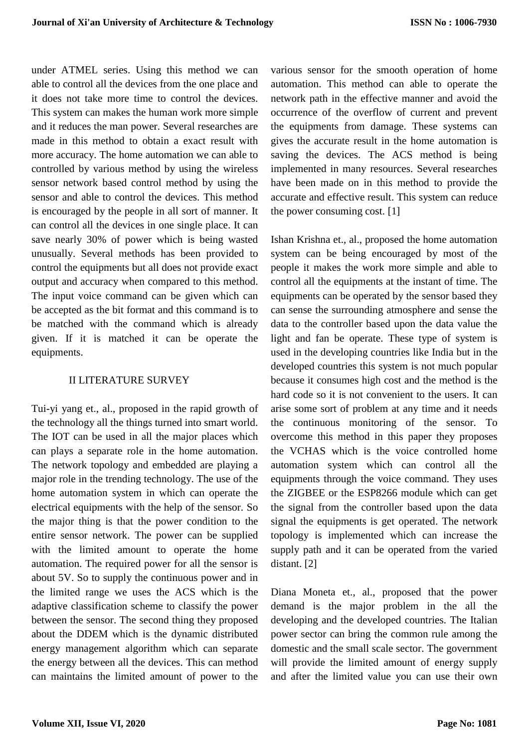under ATMEL series. Using this method we can able to control all the devices from the one place and it does not take more time to control the devices. This system can makes the human work more simple and it reduces the man power. Several researches are made in this method to obtain a exact result with more accuracy. The home automation we can able to controlled by various method by using the wireless sensor network based control method by using the sensor and able to control the devices. This method is encouraged by the people in all sort of manner. It can control all the devices in one single place. It can save nearly 30% of power which is being wasted unusually. Several methods has been provided to control the equipments but all does not provide exact output and accuracy when compared to this method. The input voice command can be given which can be accepted as the bit format and this command is to be matched with the command which is already given. If it is matched it can be operate the equipments.

### II LITERATURE SURVEY

Tui-yi yang et., al., proposed in the rapid growth of the technology all the things turned into smart world. The IOT can be used in all the major places which can plays a separate role in the home automation. The network topology and embedded are playing a major role in the trending technology. The use of the home automation system in which can operate the electrical equipments with the help of the sensor. So the major thing is that the power condition to the entire sensor network. The power can be supplied with the limited amount to operate the home automation. The required power for all the sensor is about 5V. So to supply the continuous power and in the limited range we uses the ACS which is the adaptive classification scheme to classify the power between the sensor. The second thing they proposed about the DDEM which is the dynamic distributed energy management algorithm which can separate the energy between all the devices. This can method can maintains the limited amount of power to the

various sensor for the smooth operation of home automation. This method can able to operate the network path in the effective manner and avoid the occurrence of the overflow of current and prevent the equipments from damage. These systems can gives the accurate result in the home automation is saving the devices. The ACS method is being implemented in many resources. Several researches have been made on in this method to provide the accurate and effective result. This system can reduce the power consuming cost. [1]

[Ishan Krishna](https://ieeexplore.ieee.org/author/37086069967) et., al., proposed the home automation system can be being encouraged by most of the people it makes the work more simple and able to control all the equipments at the instant of time. The equipments can be operated by the sensor based they can sense the surrounding atmosphere and sense the data to the controller based upon the data value the light and fan be operate. These type of system is used in the developing countries like India but in the developed countries this system is not much popular because it consumes high cost and the method is the hard code so it is not convenient to the users. It can arise some sort of problem at any time and it needs the continuous monitoring of the sensor. To overcome this method in this paper they proposes the VCHAS which is the voice controlled home automation system which can control all the equipments through the voice command. They uses the ZIGBEE or the ESP8266 module which can get the signal from the controller based upon the data signal the equipments is get operated. The network topology is implemented which can increase the supply path and it can be operated from the varied distant. [2]

[Diana Moneta](https://ieeexplore.ieee.org/author/37590333700) et., al., proposed that the power demand is the major problem in the all the developing and the developed countries. The Italian power sector can bring the common rule among the domestic and the small scale sector. The government will provide the limited amount of energy supply and after the limited value you can use their own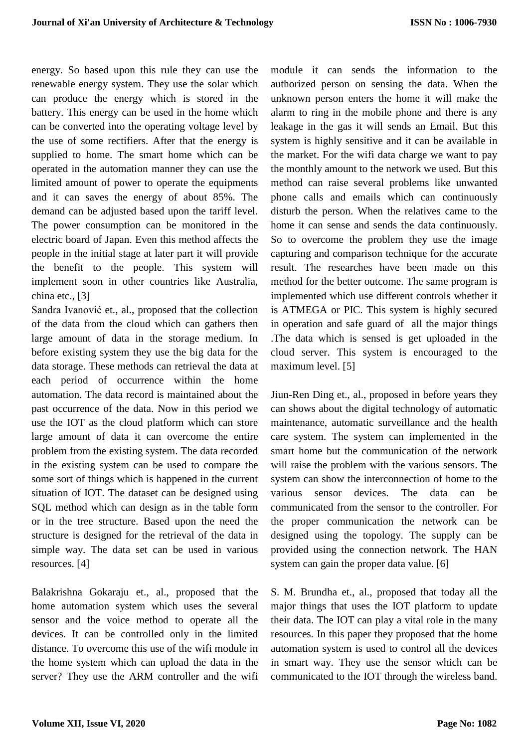energy. So based upon this rule they can use the renewable energy system. They use the solar which can produce the energy which is stored in the battery. This energy can be used in the home which can be converted into the operating voltage level by the use of some rectifiers. After that the energy is supplied to home. The smart home which can be operated in the automation manner they can use the limited amount of power to operate the equipments and it can saves the energy of about 85%. The demand can be adjusted based upon the tariff level. The power consumption can be monitored in the electric board of Japan. Even this method affects the people in the initial stage at later part it will provide the benefit to the people. This system will implement soon in other countries like Australia, china etc., [3]

[Sandra Ivanović](https://ieeexplore.ieee.org/author/37086266021) et., al., proposed that the collection of the data from the cloud which can gathers then large amount of data in the storage medium. In before existing system they use the big data for the data storage. These methods can retrieval the data at each period of occurrence within the home automation. The data record is maintained about the past occurrence of the data. Now in this period we use the IOT as the cloud platform which can store large amount of data it can overcome the entire problem from the existing system. The data recorded in the existing system can be used to compare the some sort of things which is happened in the current situation of IOT. The dataset can be designed using SQL method which can design as in the table form or in the tree structure. Based upon the need the structure is designed for the retrieval of the data in simple way. The data set can be used in various resources. [4]

[Balakrishna Gokaraju](https://ieeexplore.ieee.org/author/37400378700) et., al., proposed that the home automation system which uses the several sensor and the voice method to operate all the devices. It can be controlled only in the limited distance. To overcome this use of the wifi module in the home system which can upload the data in the server? They use the ARM controller and the wifi module it can sends the information to the authorized person on sensing the data. When the unknown person enters the home it will make the alarm to ring in the mobile phone and there is any leakage in the gas it will sends an Email. But this system is highly sensitive and it can be available in the market. For the wifi data charge we want to pay the monthly amount to the network we used. But this method can raise several problems like unwanted phone calls and emails which can continuously disturb the person. When the relatives came to the home it can sense and sends the data continuously. So to overcome the problem they use the image capturing and comparison technique for the accurate result. The researches have been made on this method for the better outcome. The same program is implemented which use different controls whether it is ATMEGA or PIC. This system is highly secured in operation and safe guard of all the major things .The data which is sensed is get uploaded in the cloud server. This system is encouraged to the maximum level. [5]

[Jiun-Ren Ding](https://ieeexplore.ieee.org/author/37537856000) et., al., proposed in before years they can shows about the digital technology of automatic maintenance, automatic surveillance and the health care system. The system can implemented in the smart home but the communication of the network will raise the problem with the various sensors. The system can show the interconnection of home to the various sensor devices. The data can be communicated from the sensor to the controller. For the proper communication the network can be designed using the topology. The supply can be provided using the connection network. The HAN system can gain the proper data value. [6]

[S. M. Brundha](https://ieeexplore.ieee.org/author/37086378118) et., al., proposed that today all the major things that uses the IOT platform to update their data. The IOT can play a vital role in the many resources. In this paper they proposed that the home automation system is used to control all the devices in smart way. They use the sensor which can be communicated to the IOT through the wireless band.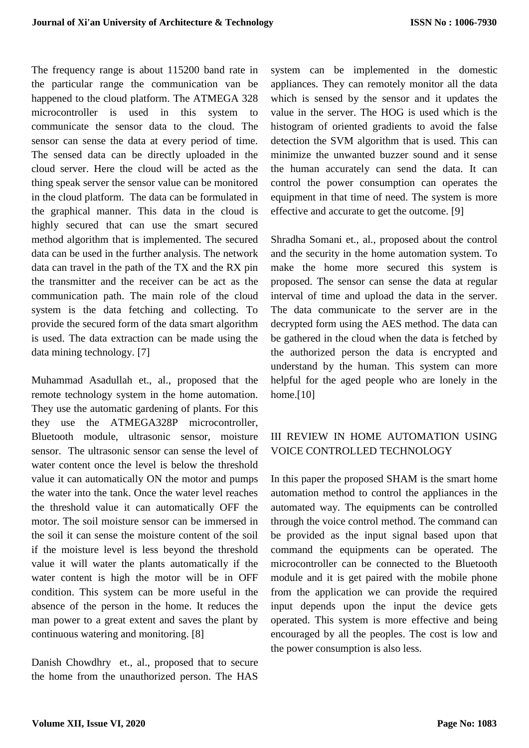The frequency range is about 115200 band rate in the particular range the communication van be happened to the cloud platform. The ATMEGA 328 microcontroller is used in this system to communicate the sensor data to the cloud. The sensor can sense the data at every period of time. The sensed data can be directly uploaded in the cloud server. Here the cloud will be acted as the thing speak server the sensor value can be monitored in the cloud platform. The data can be formulated in the graphical manner. This data in the cloud is highly secured that can use the smart secured method algorithm that is implemented. The secured data can be used in the further analysis. The network data can travel in the path of the TX and the RX pin the transmitter and the receiver can be act as the communication path. The main role of the cloud system is the data fetching and collecting. To provide the secured form of the data smart algorithm is used. The data extraction can be made using the data mining technology. [7]

[Muhammad Asadullah](https://ieeexplore.ieee.org/author/37086043415) et., al., proposed that the remote technology system in the home automation. They use the automatic gardening of plants. For this they use the ATMEGA328P microcontroller, Bluetooth module, ultrasonic sensor, moisture sensor. The ultrasonic sensor can sense the level of water content once the level is below the threshold value it can automatically ON the motor and pumps the water into the tank. Once the water level reaches the threshold value it can automatically OFF the motor. The soil moisture sensor can be immersed in the soil it can sense the moisture content of the soil if the moisture level is less beyond the threshold value it will water the plants automatically if the water content is high the motor will be in OFF condition. This system can be more useful in the absence of the person in the home. It reduces the man power to a great extent and saves the plant by continuous watering and monitoring. [8]

[Danish Chowdhry](https://ieeexplore.ieee.org/author/37085714521) et., al., proposed that to secure the home from the unauthorized person. The HAS

system can be implemented in the domestic appliances. They can remotely monitor all the data which is sensed by the sensor and it updates the value in the server. The HOG is used which is the histogram of oriented gradients to avoid the false detection the SVM algorithm that is used. This can minimize the unwanted buzzer sound and it sense the human accurately can send the data. It can control the power consumption can operates the equipment in that time of need. The system is more effective and accurate to get the outcome. [9]

[Shradha Somani](https://ieeexplore.ieee.org/author/37086823326) et., al., proposed about the control and the security in the home automation system. To make the home more secured this system is proposed. The sensor can sense the data at regular interval of time and upload the data in the server. The data communicate to the server are in the decrypted form using the AES method. The data can be gathered in the cloud when the data is fetched by the authorized person the data is encrypted and understand by the human. This system can more helpful for the aged people who are lonely in the home.<sup>[10]</sup>

# III REVIEW IN HOME AUTOMATION USING VOICE CONTROLLED TECHNOLOGY

In this paper the proposed SHAM is the smart home automation method to control the appliances in the automated way. The equipments can be controlled through the voice control method. The command can be provided as the input signal based upon that command the equipments can be operated. The microcontroller can be connected to the Bluetooth module and it is get paired with the mobile phone from the application we can provide the required input depends upon the input the device gets operated. This system is more effective and being encouraged by all the peoples. The cost is low and the power consumption is also less.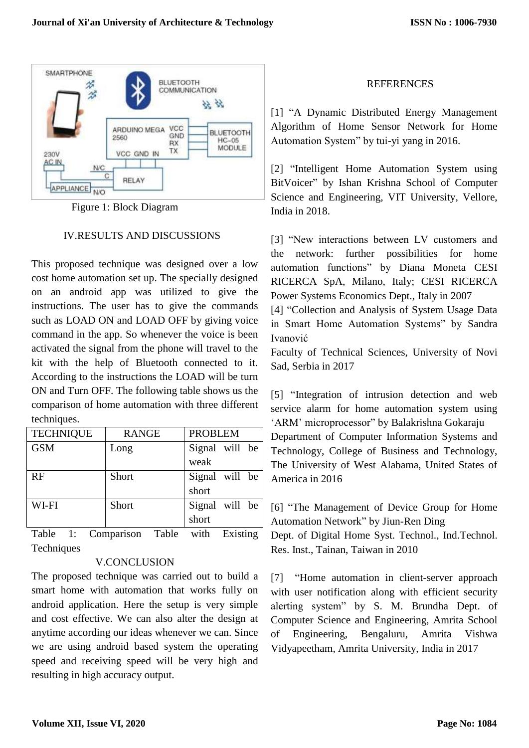

Figure 1: Block Diagram

## IV.RESULTS AND DISCUSSIONS

This proposed technique was designed over a low cost home automation set up. The specially designed on an android app was utilized to give the instructions. The user has to give the commands such as LOAD ON and LOAD OFF by giving voice command in the app. So whenever the voice is been activated the signal from the phone will travel to the kit with the help of Bluetooth connected to it. According to the instructions the LOAD will be turn ON and Turn OFF. The following table shows us the comparison of home automation with three different techniques.

| <b>TECHNIQUE</b> | <b>RANGE</b> | <b>PROBLEM</b> |
|------------------|--------------|----------------|
| <b>GSM</b>       | Long         | Signal will be |
|                  |              | weak           |
| RF               | Short        | Signal will be |
|                  |              | short          |
| WI-FI            | Short        | Signal will be |
|                  |              | short          |

Table 1: Comparison Table with Existing **Techniques** 

## V.CONCLUSION

The proposed technique was carried out to build a smart home with automation that works fully on android application. Here the setup is very simple and cost effective. We can also alter the design at anytime according our ideas whenever we can. Since we are using android based system the operating speed and receiving speed will be very high and resulting in high accuracy output.

## REFERENCES

[1] "A Dynamic Distributed Energy Management Algorithm of Home Sensor Network for Home Automation System" by tui-yi yang in 2016.

[2] "Intelligent Home Automation System using BitVoicer" by [Ishan Krishna](https://ieeexplore.ieee.org/author/37086069967) School of Computer Science and Engineering, VIT University, Vellore, India in 2018.

[3] "New interactions between LV customers and the network: further possibilities for home automation functions" by [Diana Moneta](https://ieeexplore.ieee.org/author/37590333700) CESI RICERCA SpA, Milano, Italy; CESI RICERCA Power Systems Economics Dept., Italy in 2007

[4] "Collection and Analysis of System Usage Data in Smart Home Automation Systems" by [Sandra](https://ieeexplore.ieee.org/author/37086266021)  [Ivanović](https://ieeexplore.ieee.org/author/37086266021)

Faculty of Technical Sciences, University of Novi Sad, Serbia in 2017

[5] "Integration of intrusion detection and web service alarm for home automation system using 'ARM' microprocessor" by [Balakrishna Gokaraju](https://ieeexplore.ieee.org/author/37400378700) Department of Computer Information Systems and Technology, College of Business and Technology, The University of West Alabama, United States of America in 2016

[6] "The Management of Device Group for Home Automation Network" by [Jiun-Ren Ding](https://ieeexplore.ieee.org/author/37537856000) Dept. of Digital Home Syst. Technol., Ind.Technol.

Res. Inst., Tainan, Taiwan in 2010

[7] "Home automation in client-server approach with user notification along with efficient security alerting system" by [S. M. Brundha](https://ieeexplore.ieee.org/author/37086378118) Dept. of Computer Science and Engineering, Amrita School of Engineering, Bengaluru, Amrita Vishwa Vidyapeetham, Amrita University, India in 2017